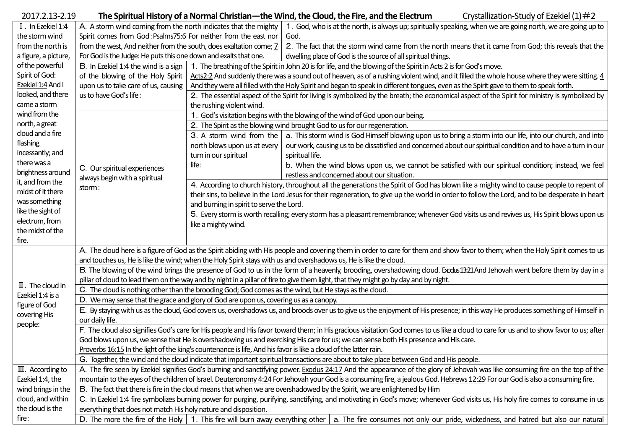| 2017.2.13-2.19                                                                    |                                                                                                                                                                                                                                                                                                                                                                                                                                                                                                                                                                 |                                                                                                                                                                              | The Spiritual History of a Normal Christian—the Wind, the Cloud, the Fire, and the Electrum<br>Crystallization-Study of Ezekiel $(1)$ #2        |  |  |  |  |  |  |
|-----------------------------------------------------------------------------------|-----------------------------------------------------------------------------------------------------------------------------------------------------------------------------------------------------------------------------------------------------------------------------------------------------------------------------------------------------------------------------------------------------------------------------------------------------------------------------------------------------------------------------------------------------------------|------------------------------------------------------------------------------------------------------------------------------------------------------------------------------|-------------------------------------------------------------------------------------------------------------------------------------------------|--|--|--|--|--|--|
| I. In Ezekiel 1:4                                                                 | A. A storm wind coming from the north indicates that the mighty                                                                                                                                                                                                                                                                                                                                                                                                                                                                                                 |                                                                                                                                                                              | 1. God, who is at the north, is always up; spiritually speaking, when we are going north, we are going up to                                    |  |  |  |  |  |  |
| the storm wind                                                                    | Spirit comes from God: Psalms75:6 For neither from the east nor                                                                                                                                                                                                                                                                                                                                                                                                                                                                                                 |                                                                                                                                                                              | God.                                                                                                                                            |  |  |  |  |  |  |
| from the north is                                                                 | from the west, And neither from the south, does exaltation come; 7                                                                                                                                                                                                                                                                                                                                                                                                                                                                                              |                                                                                                                                                                              | 2. The fact that the storm wind came from the north means that it came from God; this reveals that the                                          |  |  |  |  |  |  |
| a figure, a picture,                                                              | For God is the Judge: He puts this one down and exalts that one.                                                                                                                                                                                                                                                                                                                                                                                                                                                                                                |                                                                                                                                                                              | dwelling place of God is the source of all spiritual things.                                                                                    |  |  |  |  |  |  |
| of the powerful                                                                   | B. In Ezekiel 1:4 the wind is a sign                                                                                                                                                                                                                                                                                                                                                                                                                                                                                                                            |                                                                                                                                                                              | 1. The breathing of the Spirit in John 20 is for life, and the blowing of the Spirit in Acts 2 is for God's move.                               |  |  |  |  |  |  |
| Spirit of God:                                                                    | of the blowing of the Holy Spirit                                                                                                                                                                                                                                                                                                                                                                                                                                                                                                                               | Acts2:2 And suddenly there was a sound out of heaven, as of a rushing violent wind, and it filled the whole house where they were sitting. 4                                 |                                                                                                                                                 |  |  |  |  |  |  |
| Ezekiel 1:4 And I                                                                 | upon us to take care of us, causing<br>And they were all filled with the Holy Spirit and began to speak in different tongues, even as the Spirit gave to them to speak forth.                                                                                                                                                                                                                                                                                                                                                                                   |                                                                                                                                                                              |                                                                                                                                                 |  |  |  |  |  |  |
| looked, and there                                                                 | us to have God's life:                                                                                                                                                                                                                                                                                                                                                                                                                                                                                                                                          | 2. The essential aspect of the Spirit for living is symbolized by the breath; the economical aspect of the Spirit for ministry is symbolized by                              |                                                                                                                                                 |  |  |  |  |  |  |
| came a storm                                                                      |                                                                                                                                                                                                                                                                                                                                                                                                                                                                                                                                                                 | the rushing violent wind.                                                                                                                                                    |                                                                                                                                                 |  |  |  |  |  |  |
| wind from the                                                                     |                                                                                                                                                                                                                                                                                                                                                                                                                                                                                                                                                                 | 1. God's visitation begins with the blowing of the wind of God upon our being.                                                                                               |                                                                                                                                                 |  |  |  |  |  |  |
| north, a great<br>cloud and a fire<br>flashing<br>incessantly; and<br>there was a | C. Our spiritual experiences<br>always begin with a spiritual<br>storm:                                                                                                                                                                                                                                                                                                                                                                                                                                                                                         | 2. The Spirit as the blowing wind brought God to us for our regeneration.                                                                                                    |                                                                                                                                                 |  |  |  |  |  |  |
|                                                                                   |                                                                                                                                                                                                                                                                                                                                                                                                                                                                                                                                                                 |                                                                                                                                                                              | 3. A storm wind from the   a. This storm wind is God Himself blowing upon us to bring a storm into our life, into our church, and into          |  |  |  |  |  |  |
|                                                                                   |                                                                                                                                                                                                                                                                                                                                                                                                                                                                                                                                                                 | north blows upon us at every                                                                                                                                                 | our work, causing us to be dissatisfied and concerned about our spiritual condition and to have a turn in our                                   |  |  |  |  |  |  |
|                                                                                   |                                                                                                                                                                                                                                                                                                                                                                                                                                                                                                                                                                 | turn in our spiritual                                                                                                                                                        | spiritual life.                                                                                                                                 |  |  |  |  |  |  |
|                                                                                   |                                                                                                                                                                                                                                                                                                                                                                                                                                                                                                                                                                 | life:                                                                                                                                                                        | b. When the wind blows upon us, we cannot be satisfied with our spiritual condition; instead, we feel                                           |  |  |  |  |  |  |
| brightness around                                                                 |                                                                                                                                                                                                                                                                                                                                                                                                                                                                                                                                                                 |                                                                                                                                                                              | restless and concerned about our situation.                                                                                                     |  |  |  |  |  |  |
| it, and from the                                                                  |                                                                                                                                                                                                                                                                                                                                                                                                                                                                                                                                                                 | 4. According to church history, throughout all the generations the Spirit of God has blown like a mighty wind to cause people to repent of                                   |                                                                                                                                                 |  |  |  |  |  |  |
| midst of it there                                                                 |                                                                                                                                                                                                                                                                                                                                                                                                                                                                                                                                                                 |                                                                                                                                                                              | their sins, to believe in the Lord Jesus for their regeneration, to give up the world in order to follow the Lord, and to be desperate in heart |  |  |  |  |  |  |
| was something                                                                     | and burning in spirit to serve the Lord.                                                                                                                                                                                                                                                                                                                                                                                                                                                                                                                        |                                                                                                                                                                              |                                                                                                                                                 |  |  |  |  |  |  |
| like the sight of                                                                 |                                                                                                                                                                                                                                                                                                                                                                                                                                                                                                                                                                 |                                                                                                                                                                              | 5. Every storm is worth recalling; every storm has a pleasant remembrance; whenever God visits us and revives us, His Spirit blows upon us      |  |  |  |  |  |  |
| electrum, from                                                                    | like a mighty wind.                                                                                                                                                                                                                                                                                                                                                                                                                                                                                                                                             |                                                                                                                                                                              |                                                                                                                                                 |  |  |  |  |  |  |
| the midst of the                                                                  |                                                                                                                                                                                                                                                                                                                                                                                                                                                                                                                                                                 |                                                                                                                                                                              |                                                                                                                                                 |  |  |  |  |  |  |
| fire.                                                                             |                                                                                                                                                                                                                                                                                                                                                                                                                                                                                                                                                                 |                                                                                                                                                                              |                                                                                                                                                 |  |  |  |  |  |  |
|                                                                                   | A. The cloud here is a figure of God as the Spirit abiding with His people and covering them in order to care for them and show favor to them; when the Holy Spirit comes to us                                                                                                                                                                                                                                                                                                                                                                                 |                                                                                                                                                                              |                                                                                                                                                 |  |  |  |  |  |  |
|                                                                                   | and touches us, He is like the wind; when the Holy Spirit stays with us and overshadows us, He is like the cloud.<br>B. The blowing of the wind brings the presence of God to us in the form of a heavenly, brooding, overshadowing cloud. <b>Exclus 13:21</b> And Jehovah went before them by day in a                                                                                                                                                                                                                                                         |                                                                                                                                                                              |                                                                                                                                                 |  |  |  |  |  |  |
|                                                                                   | pillar of cloud to lead them on the way and by night in a pillar of fire to give them light, that they might go by day and by night.                                                                                                                                                                                                                                                                                                                                                                                                                            |                                                                                                                                                                              |                                                                                                                                                 |  |  |  |  |  |  |
| $\mathbb I$ . The cloud in                                                        | C. The cloud is nothing other than the brooding God; God comes as the wind, but He stays as the cloud.                                                                                                                                                                                                                                                                                                                                                                                                                                                          |                                                                                                                                                                              |                                                                                                                                                 |  |  |  |  |  |  |
| Ezekiel 1:4 is a                                                                  | D. We may sense that the grace and glory of God are upon us, covering us as a canopy.                                                                                                                                                                                                                                                                                                                                                                                                                                                                           |                                                                                                                                                                              |                                                                                                                                                 |  |  |  |  |  |  |
| figure of God                                                                     | E. By staying with us as the cloud, God covers us, overshadows us, and broods over us to give us the enjoyment of His presence; in this way He produces something of Himself in                                                                                                                                                                                                                                                                                                                                                                                 |                                                                                                                                                                              |                                                                                                                                                 |  |  |  |  |  |  |
| covering His                                                                      | our daily life.                                                                                                                                                                                                                                                                                                                                                                                                                                                                                                                                                 |                                                                                                                                                                              |                                                                                                                                                 |  |  |  |  |  |  |
| people:                                                                           | F. The cloud also signifies God's care for His people and His favor toward them; in His gracious visitation God comes to us like a cloud to care for us and to show favor to us; after                                                                                                                                                                                                                                                                                                                                                                          |                                                                                                                                                                              |                                                                                                                                                 |  |  |  |  |  |  |
|                                                                                   | God blows upon us, we sense that He is overshadowing us and exercising His care for us; we can sense both His presence and His care.                                                                                                                                                                                                                                                                                                                                                                                                                            |                                                                                                                                                                              |                                                                                                                                                 |  |  |  |  |  |  |
|                                                                                   | Proverbs 16:15 In the light of the king's countenance is life, And his favor is like a cloud of the latter rain.                                                                                                                                                                                                                                                                                                                                                                                                                                                |                                                                                                                                                                              |                                                                                                                                                 |  |  |  |  |  |  |
|                                                                                   | G. Together, the wind and the cloud indicate that important spiritual transactions are about to take place between God and His people.                                                                                                                                                                                                                                                                                                                                                                                                                          |                                                                                                                                                                              |                                                                                                                                                 |  |  |  |  |  |  |
| $\mathbb{II}$ . According to                                                      |                                                                                                                                                                                                                                                                                                                                                                                                                                                                                                                                                                 | A. The fire seen by Ezekiel signifies God's burning and sanctifying power. Exodus 24:17 And the appearance of the glory of Jehovah was like consuming fire on the top of the |                                                                                                                                                 |  |  |  |  |  |  |
| Ezekiel 1:4, the                                                                  | mountain to the eyes of the children of Israel. Deuteronomy 4:24 For Jehovah your God is a consuming fire, a jealous God. Hebrews 12:29 For our God is also a consuming fire.                                                                                                                                                                                                                                                                                                                                                                                   |                                                                                                                                                                              |                                                                                                                                                 |  |  |  |  |  |  |
| wind brings in the                                                                | B. The fact that there is fire in the cloud means that when we are overshadowed by the Spirit, we are enlightened by Him<br>C. In Ezekiel 1:4 fire symbolizes burning power for purging, purifying, sanctifying, and motivating in God's move; whenever God visits us, His holy fire comes to consume in us<br>everything that does not match His holy nature and disposition.<br>D. The more the fire of the Holy $\vert$ 1. This fire will burn away everything other<br>a. The fire consumes not only our pride, wickedness, and hatred but also our natural |                                                                                                                                                                              |                                                                                                                                                 |  |  |  |  |  |  |
| cloud, and within                                                                 |                                                                                                                                                                                                                                                                                                                                                                                                                                                                                                                                                                 |                                                                                                                                                                              |                                                                                                                                                 |  |  |  |  |  |  |
| the cloud is the                                                                  |                                                                                                                                                                                                                                                                                                                                                                                                                                                                                                                                                                 |                                                                                                                                                                              |                                                                                                                                                 |  |  |  |  |  |  |
| fire:                                                                             |                                                                                                                                                                                                                                                                                                                                                                                                                                                                                                                                                                 |                                                                                                                                                                              |                                                                                                                                                 |  |  |  |  |  |  |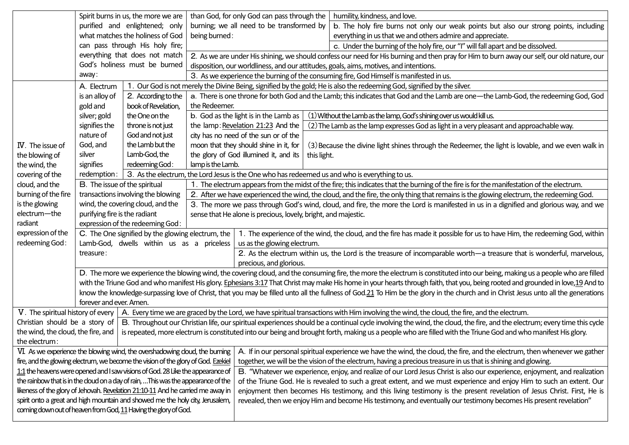|                                                                                                                                                                                                     | Spirit burns in us, the more we are<br>purified and enlightened; only<br>what matches the holiness of God                                                                                                                                                                                                                                                          |                                                                                                                                     |                                                                                                                                                                          | than God, for only God can pass through the                                                                                                              |                                                                                                                          | humility, kindness, and love.                                                                                                                                                       |  |  |  |
|-----------------------------------------------------------------------------------------------------------------------------------------------------------------------------------------------------|--------------------------------------------------------------------------------------------------------------------------------------------------------------------------------------------------------------------------------------------------------------------------------------------------------------------------------------------------------------------|-------------------------------------------------------------------------------------------------------------------------------------|--------------------------------------------------------------------------------------------------------------------------------------------------------------------------|----------------------------------------------------------------------------------------------------------------------------------------------------------|--------------------------------------------------------------------------------------------------------------------------|-------------------------------------------------------------------------------------------------------------------------------------------------------------------------------------|--|--|--|
|                                                                                                                                                                                                     |                                                                                                                                                                                                                                                                                                                                                                    |                                                                                                                                     | burning; we all need to be transformed by                                                                                                                                |                                                                                                                                                          |                                                                                                                          | b. The holy fire burns not only our weak points but also our strong points, including                                                                                               |  |  |  |
|                                                                                                                                                                                                     |                                                                                                                                                                                                                                                                                                                                                                    |                                                                                                                                     | being burned:                                                                                                                                                            |                                                                                                                                                          |                                                                                                                          | everything in us that we and others admire and appreciate.                                                                                                                          |  |  |  |
|                                                                                                                                                                                                     | can pass through His holy fire;                                                                                                                                                                                                                                                                                                                                    |                                                                                                                                     |                                                                                                                                                                          | c. Under the burning of the holy fire, our "I" will fall apart and be dissolved.                                                                         |                                                                                                                          |                                                                                                                                                                                     |  |  |  |
|                                                                                                                                                                                                     |                                                                                                                                                                                                                                                                                                                                                                    | everything that does not match                                                                                                      |                                                                                                                                                                          | 2. As we are under His shining, we should confess our need for His burning and then pray for Him to burn away our self, our old nature, our              |                                                                                                                          |                                                                                                                                                                                     |  |  |  |
|                                                                                                                                                                                                     |                                                                                                                                                                                                                                                                                                                                                                    | God's holiness must be burned                                                                                                       |                                                                                                                                                                          | disposition, our worldliness, and our attitudes, goals, aims, motives, and intentions.                                                                   |                                                                                                                          |                                                                                                                                                                                     |  |  |  |
|                                                                                                                                                                                                     | away:                                                                                                                                                                                                                                                                                                                                                              |                                                                                                                                     |                                                                                                                                                                          | 3. As we experience the burning of the consuming fire, God Himself is manifested in us.                                                                  |                                                                                                                          |                                                                                                                                                                                     |  |  |  |
|                                                                                                                                                                                                     | A. Electrum                                                                                                                                                                                                                                                                                                                                                        |                                                                                                                                     |                                                                                                                                                                          |                                                                                                                                                          | 1. Our God is not merely the Divine Being, signified by the gold; He is also the redeeming God, signified by the silver. |                                                                                                                                                                                     |  |  |  |
|                                                                                                                                                                                                     | is an alloy of                                                                                                                                                                                                                                                                                                                                                     | 2. According to the                                                                                                                 | a. There is one throne for both God and the Lamb; this indicates that God and the Lamb are one—the Lamb-God, the redeeming God, God                                      |                                                                                                                                                          |                                                                                                                          |                                                                                                                                                                                     |  |  |  |
|                                                                                                                                                                                                     | gold and                                                                                                                                                                                                                                                                                                                                                           | book of Revelation,                                                                                                                 | the Redeemer.                                                                                                                                                            |                                                                                                                                                          |                                                                                                                          |                                                                                                                                                                                     |  |  |  |
|                                                                                                                                                                                                     | silver; gold                                                                                                                                                                                                                                                                                                                                                       | the One on the                                                                                                                      |                                                                                                                                                                          | b. God as the light is in the Lamb as                                                                                                                    | (1) Without the Lamb as the lamp, God's shining over us would kill us.                                                   |                                                                                                                                                                                     |  |  |  |
|                                                                                                                                                                                                     | signifies the                                                                                                                                                                                                                                                                                                                                                      | throne is not just                                                                                                                  | the lamp: Revelation 21:23 And the                                                                                                                                       |                                                                                                                                                          |                                                                                                                          | (2) The Lamb as the lamp expresses God as light in a very pleasant and approachable way.                                                                                            |  |  |  |
|                                                                                                                                                                                                     | nature of                                                                                                                                                                                                                                                                                                                                                          | God and not just                                                                                                                    |                                                                                                                                                                          | city has no need of the sun or of the                                                                                                                    |                                                                                                                          |                                                                                                                                                                                     |  |  |  |
| IV. The issue of                                                                                                                                                                                    | God, and                                                                                                                                                                                                                                                                                                                                                           | the Lamb but the                                                                                                                    |                                                                                                                                                                          | moon that they should shine in it, for                                                                                                                   | (3) Because the divine light shines through the Redeemer, the light is lovable, and we even walk in                      |                                                                                                                                                                                     |  |  |  |
| the blowing of                                                                                                                                                                                      | silver                                                                                                                                                                                                                                                                                                                                                             | Lamb-God, the                                                                                                                       |                                                                                                                                                                          | the glory of God illumined it, and its                                                                                                                   | this light.                                                                                                              |                                                                                                                                                                                     |  |  |  |
| the wind, the                                                                                                                                                                                       | signifies                                                                                                                                                                                                                                                                                                                                                          | redeeming God:                                                                                                                      | lamp is the Lamb.                                                                                                                                                        |                                                                                                                                                          |                                                                                                                          |                                                                                                                                                                                     |  |  |  |
| covering of the                                                                                                                                                                                     | redemption:                                                                                                                                                                                                                                                                                                                                                        |                                                                                                                                     |                                                                                                                                                                          |                                                                                                                                                          |                                                                                                                          | 3. As the electrum, the Lord Jesus is the One who has redeemed us and who is everything to us.                                                                                      |  |  |  |
| cloud, and the                                                                                                                                                                                      | B. The issue of the spiritual                                                                                                                                                                                                                                                                                                                                      |                                                                                                                                     |                                                                                                                                                                          | 1. The electrum appears from the midst of the fire; this indicates that the burning of the fire is for the manifestation of the electrum.                |                                                                                                                          |                                                                                                                                                                                     |  |  |  |
| burning of the fire                                                                                                                                                                                 | transactions involving the blowing<br>2. After we have experienced the wind, the cloud, and the fire, the only thing that remains is the glowing electrum, the redeeming God.                                                                                                                                                                                      |                                                                                                                                     |                                                                                                                                                                          |                                                                                                                                                          |                                                                                                                          |                                                                                                                                                                                     |  |  |  |
| is the glowing                                                                                                                                                                                      | wind, the covering cloud, and the<br>3. The more we pass through God's wind, cloud, and fire, the more the Lord is manifested in us in a dignified and glorious way, and we                                                                                                                                                                                        |                                                                                                                                     |                                                                                                                                                                          |                                                                                                                                                          |                                                                                                                          |                                                                                                                                                                                     |  |  |  |
| electrum-the                                                                                                                                                                                        |                                                                                                                                                                                                                                                                                                                                                                    | purifying fire is the radiant<br>sense that He alone is precious, lovely, bright, and majestic.<br>expression of the redeeming God: |                                                                                                                                                                          |                                                                                                                                                          |                                                                                                                          |                                                                                                                                                                                     |  |  |  |
| radiant                                                                                                                                                                                             |                                                                                                                                                                                                                                                                                                                                                                    |                                                                                                                                     |                                                                                                                                                                          |                                                                                                                                                          |                                                                                                                          |                                                                                                                                                                                     |  |  |  |
| expression of the<br>redeeming God:                                                                                                                                                                 |                                                                                                                                                                                                                                                                                                                                                                    | C. The One signified by the glowing electrum, the                                                                                   |                                                                                                                                                                          | 1. The experience of the wind, the cloud, and the fire has made it possible for us to have Him, the redeeming God, within<br>us as the glowing electrum. |                                                                                                                          |                                                                                                                                                                                     |  |  |  |
|                                                                                                                                                                                                     | Lamb-God, dwells within us as a priceless<br>treasure:                                                                                                                                                                                                                                                                                                             |                                                                                                                                     |                                                                                                                                                                          | 2. As the electrum within us, the Lord is the treasure of incomparable worth-a treasure that is wonderful, marvelous,                                    |                                                                                                                          |                                                                                                                                                                                     |  |  |  |
|                                                                                                                                                                                                     | precious, and glorious.                                                                                                                                                                                                                                                                                                                                            |                                                                                                                                     |                                                                                                                                                                          |                                                                                                                                                          |                                                                                                                          |                                                                                                                                                                                     |  |  |  |
|                                                                                                                                                                                                     | D. The more we experience the blowing wind, the covering cloud, and the consuming fire, the more the electrum is constituted into our being, making us a people who are filled<br>with the Triune God and who manifest His glory. Ephesians 3:17 That Christ may make His home in your hearts through faith, that you, being rooted and grounded in love,19 And to |                                                                                                                                     |                                                                                                                                                                          |                                                                                                                                                          |                                                                                                                          |                                                                                                                                                                                     |  |  |  |
|                                                                                                                                                                                                     |                                                                                                                                                                                                                                                                                                                                                                    |                                                                                                                                     |                                                                                                                                                                          |                                                                                                                                                          |                                                                                                                          |                                                                                                                                                                                     |  |  |  |
|                                                                                                                                                                                                     |                                                                                                                                                                                                                                                                                                                                                                    |                                                                                                                                     |                                                                                                                                                                          |                                                                                                                                                          |                                                                                                                          | know the knowledge-surpassing love of Christ, that you may be filled unto all the fullness of God.21 To Him be the glory in the church and in Christ Jesus unto all the generations |  |  |  |
|                                                                                                                                                                                                     | forever and ever. Amen.                                                                                                                                                                                                                                                                                                                                            |                                                                                                                                     |                                                                                                                                                                          |                                                                                                                                                          |                                                                                                                          |                                                                                                                                                                                     |  |  |  |
| V. The spiritual history of every                                                                                                                                                                   |                                                                                                                                                                                                                                                                                                                                                                    |                                                                                                                                     |                                                                                                                                                                          |                                                                                                                                                          |                                                                                                                          | A. Every time we are graced by the Lord, we have spiritual transactions with Him involving the wind, the cloud, the fire, and the electrum.                                         |  |  |  |
| Christian should be a story of                                                                                                                                                                      |                                                                                                                                                                                                                                                                                                                                                                    |                                                                                                                                     | B. Throughout our Christian life, our spiritual experiences should be a continual cycle involving the wind, the cloud, the fire, and the electrum; every time this cycle |                                                                                                                                                          |                                                                                                                          |                                                                                                                                                                                     |  |  |  |
| the wind, the cloud, the fire, and<br>is repeated, more electrum is constituted into our being and brought forth, making us a people who are filled with the Triune God and who manifest His glory. |                                                                                                                                                                                                                                                                                                                                                                    |                                                                                                                                     |                                                                                                                                                                          |                                                                                                                                                          |                                                                                                                          |                                                                                                                                                                                     |  |  |  |
| the electrum:                                                                                                                                                                                       |                                                                                                                                                                                                                                                                                                                                                                    |                                                                                                                                     |                                                                                                                                                                          |                                                                                                                                                          |                                                                                                                          |                                                                                                                                                                                     |  |  |  |
|                                                                                                                                                                                                     |                                                                                                                                                                                                                                                                                                                                                                    | VI. As we experience the blowing wind, the overshadowing cloud, the burning                                                         |                                                                                                                                                                          | A. If in our personal spiritual experience we have the wind, the cloud, the fire, and the electrum, then whenever we gather                              |                                                                                                                          |                                                                                                                                                                                     |  |  |  |
|                                                                                                                                                                                                     | fire, and the glowing electrum, we become the vision of the glory of God. Ezekiel                                                                                                                                                                                                                                                                                  |                                                                                                                                     | together, we will be the vision of the electrum, having a precious treasure in us that is shining and glowing.                                                           |                                                                                                                                                          |                                                                                                                          |                                                                                                                                                                                     |  |  |  |
|                                                                                                                                                                                                     | 1:1 the heavens were opened and I saw visions of God. 28 Like the appearance of                                                                                                                                                                                                                                                                                    |                                                                                                                                     | B. "Whatever we experience, enjoy, and realize of our Lord Jesus Christ is also our experience, enjoyment, and realization                                               |                                                                                                                                                          |                                                                                                                          |                                                                                                                                                                                     |  |  |  |
|                                                                                                                                                                                                     | the rainbow that is in the cloud on a day of rain, This was the appearance of the                                                                                                                                                                                                                                                                                  |                                                                                                                                     | of the Triune God. He is revealed to such a great extent, and we must experience and enjoy Him to such an extent. Our                                                    |                                                                                                                                                          |                                                                                                                          |                                                                                                                                                                                     |  |  |  |
|                                                                                                                                                                                                     |                                                                                                                                                                                                                                                                                                                                                                    | likeness of the glory of Jehovah. Revelation 21:10-11 And he carried me away in                                                     |                                                                                                                                                                          | enjoyment then becomes His testimony, and this living testimony is the present revelation of Jesus Christ. First, He is                                  |                                                                                                                          |                                                                                                                                                                                     |  |  |  |
| spirit onto a great and high mountain and showed me the holy city, Jerusalem,<br>revealed, then we enjoy Him and become His testimony, and eventually our testimony becomes His present revelation" |                                                                                                                                                                                                                                                                                                                                                                    |                                                                                                                                     |                                                                                                                                                                          |                                                                                                                                                          |                                                                                                                          |                                                                                                                                                                                     |  |  |  |
| coming down out of heaven from God, 11 Having the glory of God.                                                                                                                                     |                                                                                                                                                                                                                                                                                                                                                                    |                                                                                                                                     |                                                                                                                                                                          |                                                                                                                                                          |                                                                                                                          |                                                                                                                                                                                     |  |  |  |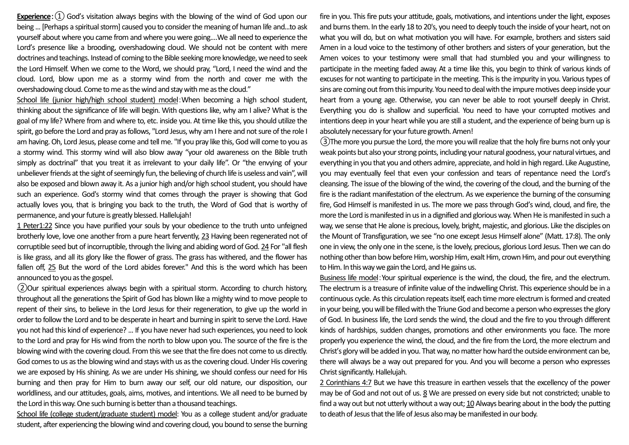**Experience**:①God's visitation always begins with the blowing of the wind of God upon our being ... [Perhaps a spiritual storm] caused you to consider the meaning of human life and...to ask yourself about where you came from and where you were going.…We all need to experience the Lord's presence like a brooding, overshadowing cloud. We should not be content with mere doctrines and teachings. Instead of coming to the Bible seeking more knowledge, we need to seek the Lord Himself. When we come to the Word, we should pray, "Lord, I need the wind and the cloud. Lord, blow upon me as a stormy wind from the north and cover me with the overshadowing cloud. Come to me as the wind and stay with me as the cloud."

School life (junior high/high school student) model:When becoming a high school student, thinking about the significance of life will begin. With questions like, why am I alive? What is the goal of my life? Where from and where to, etc. inside you. At time like this, you should utilize the spirit, go before the Lord and pray as follows, "Lord Jesus, why am I here and not sure of the role I am having. Oh, Lord Jesus, please come and tell me. "If you pray like this, God will come to you as a stormy wind. This stormy wind will also blow away "your old awareness on the Bible truth simply as doctrinal" that you treat it as irrelevant to your daily life". Or "the envying of your unbeliever friends at the sight of seemingly fun, the believing of church life is useless and vain", will also be exposed and blown away it. As a junior high and/or high school student, you should have such an experience. God's stormy wind that comes through the prayer is showing that God actually loves you, that is bringing you back to the truth, the Word of God that is worthy of permanence, and your future is greatly blessed. Hallelujah!

1 Peter1:22 Since you have purified your souls by your obedience to the truth unto unfeigned brotherly love, love one another from a pure heart fervently, 23 Having been regenerated not of corruptible seed but of incorruptible, through the living and abiding word of God. 24 For "all flesh is like grass, and all its glory like the flower of grass. The grass has withered, and the flower has fallen off, 25 But the word of the Lord abides forever." And this is the word which has been announced to you as the gospel.

②Our spiritual experiences always begin with a spiritual storm. According to church history, throughout all the generations the Spirit of God has blown like a mighty wind to move people to repent of their sins, to believe in the Lord Jesus for their regeneration, to give up the world in order to follow the Lord and to be desperate in heart and burning in spirit to serve the Lord. Have you not had this kind of experience? ... If you have never had such experiences, you need to look to the Lord and pray for His wind from the north to blow upon you. The source of the fire is the blowing wind with the covering cloud. From this we see that the fire does not come to us directly. God comes to us as the blowing wind and stays with us as the covering cloud. Under His covering we are exposed by His shining. As we are under His shining, we should confess our need for His burning and then pray for Him to burn away our self, our old nature, our disposition, our worldliness, and our attitudes, goals, aims, motives, and intentions. We all need to be burned by the Lord in this way. One such burning is better than a thousand teachings.

School life (college student/graduate student) model: You as a college student and/or graduate student, after experiencing the blowing wind and covering cloud, you bound to sense the burning fire in you. This fire puts your attitude, goals, motivations, and intentions under the light, exposes and burns them. In the early 18 to 20's, you need to deeply touch the inside of your heart, not on what you will do, but on what motivation you will have. For example, brothers and sisters said Amen in a loud voice to the testimony of other brothers and sisters of your generation, but the Amen voices to your testimony were small that had stumbled you and your willingness to participate in the meeting faded away. At a time like this, you begin to think of various kinds of excuses for not wanting to participate in the meeting. This is the impurity in you. Various types of sins are coming out from this impurity. You need to deal with the impure motives deep inside your heart from a young age. Otherwise, you can never be able to root yourself deeply in Christ. Everything you do is shallow and superficial. You need to have your corrupted motives and intentions deep in your heart while you are still a student, and the experience of being burn up is absolutely necessary for your future growth. Amen!

③The more you pursue the Lord, the more you will realize that the holy fire burns not only your weak points but also your strong points, including your natural goodness, your natural virtues, and everything in you that you and others admire, appreciate, and hold in high regard. Like Augustine, you may eventually feel that even your confession and tears of repentance need the Lord's cleansing. The issue of the blowing of the wind, the covering of the cloud, and the burning of the fire is the radiant manifestation of the electrum. As we experience the burning of the consuming fire, God Himself is manifested in us. The more we pass through God's wind, cloud, and fire, the more the Lord is manifested in us in a dignified and glorious way. When He is manifested in such a way, we sense that He alone is precious, lovely, bright, majestic, and glorious. Like the disciples on the Mount of Transfiguration, we see "no one except Jesus Himself alone" (Matt. 17:8). The only one in view, the only one in the scene, is the lovely, precious, glorious Lord Jesus. Then we can do nothing other than bow before Him, worship Him, exalt Him, crown Him, and pour out everything to Him. In this way we gain the Lord, and He gains us.

Business life model:Your spiritual experience is the wind, the cloud, the fire, and the electrum. The electrum is a treasure of infinite value of the indwelling Christ. This experience should be in a continuous cycle. As this circulation repeats itself, each time more electrum is formed and created in your being, you will be filled with the Triune God and become a person who expresses the glory of God. In business life, the Lord sends the wind, the cloud and the fire to you through different kinds of hardships, sudden changes, promotions and other environments you face. The more properly you experience the wind, the cloud, and the fire from the Lord, the more electrum and Christ's glory will be added in you. That way, no matter how hard the outside environment can be, there will always be a way out prepared for you. And you will become a person who expresses Christ significantly. Hallelujah.

2 Corinthians 4:7 But we have this treasure in earthen vessels that the excellency of the power may be of God and not out of us. 8 We are pressed on every side but not constricted; unable to find a way out but not utterly without a way out; 10 Always bearing about in the body the putting to death of Jesus that the life of Jesus also may be manifested in our body.